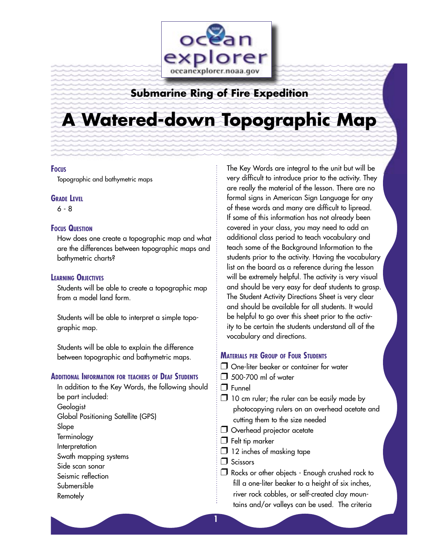

# **Submarine Ring of Fire Expedition**

# **A Watered-down Topographic Map**

#### **FOCUS**

Topographic and bathymetric maps

#### **GRADE LEVEL**

6 - 8

#### **FOCUS QUESTION**

How does one create a topographic map and what are the differences between topographic maps and bathymetric charts?

## **LEARNING OBJECTIVES**

Students will be able to create a topographic map from a model land form.

Students will be able to interpret a simple topographic map.

Students will be able to explain the difference between topographic and bathymetric maps.

#### **ADDITIONAL INFORMATION FOR TEACHERS OF DEAF STUDENTS**

In addition to the Key Words, the following should be part included: Geologist Global Positioning Satellite (GPS) Slope **Terminology** Interpretation Swath mapping systems Side scan sonar Seismic reflection Submersible Remotely

The Key Words are integral to the unit but will be very difficult to introduce prior to the activity. They are really the material of the lesson. There are no formal signs in American Sign Language for any of these words and many are difficult to lipread. If some of this information has not already been covered in your class, you may need to add an additional class period to teach vocabulary and teach some of the Background Information to the students prior to the activity. Having the vocabulary list on the board as a reference during the lesson will be extremely helpful. The activity is very visual and should be very easy for deaf students to grasp. The Student Activity Directions Sheet is very clear and should be available for all students. It would be helpful to go over this sheet prior to the activity to be certain the students understand all of the vocabulary and directions.

### **MATERIALS PER GROUP OF FOUR STUDENTS**

- One-liter beaker or container for water
- **500-700 ml of water**
- $\Box$  Funnel
- $\Box$  10 cm ruler; the ruler can be easily made by photocopying rulers on an overhead acetate and cutting them to the size needed
- Overhead projector acetate
- $\Box$  Felt tip marker
- $\Box$  12 inches of masking tape

**Scissors** 

□ Rocks or other objects - Enough crushed rock to fill a one-liter beaker to a height of six inches, river rock cobbles, or self-created clay mountains and/or valleys can be used. The criteria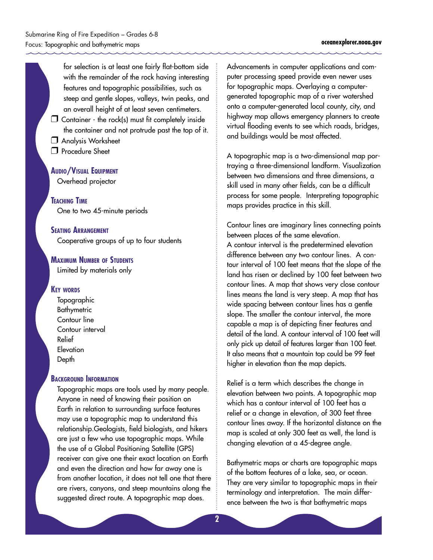for selection is at least one fairly flat-bottom side with the remainder of the rock having interesting features and topographic possibilities, such as steep and gentle slopes, valleys, twin peaks, and an overall height of at least seven centimeters.

- $\square$  Container the rock(s) must fit completely inside the container and not protrude past the top of it.
- **Analysis Worksheet**
- **Procedure Sheet**

#### **AUDIO/VISUAL EQUIPMENT**

Overhead projector

**TEACHING TIME** One to two 45-minute periods

#### **SEATING ARRANGEMENT**

Cooperative groups of up to four students

#### **MAXIMUM NUMBER OF STUDENTS**

Limited by materials only

#### **KEY WORDS**

**Topographic Bathymetric** Contour line Contour interval Relief **Elevation** Depth

#### **BACKGROUND INFORMATION**

Topographic maps are tools used by many people. Anyone in need of knowing their position on Earth in relation to surrounding surface features may use a topographic map to understand this relationship.Geologists, field biologists, and hikers are just a few who use topographic maps. While the use of a Global Positioning Satellite (GPS) receiver can give one their exact location on Earth and even the direction and how far away one is from another location, it does not tell one that there are rivers, canyons, and steep mountains along the suggested direct route. A topographic map does.

Advancements in computer applications and computer processing speed provide even newer uses for topographic maps. Overlaying a computergenerated topographic map of a river watershed onto a computer-generated local county, city, and highway map allows emergency planners to create virtual flooding events to see which roads, bridges, and buildings would be most affected.

A topographic map is a two-dimensional map portraying a three-dimensional landform. Visualization between two dimensions and three dimensions, a skill used in many other fields, can be a difficult process for some people. Interpreting topographic maps provides practice in this skill.

Contour lines are imaginary lines connecting points between places of the same elevation.

A contour interval is the predetermined elevation difference between any two contour lines. A contour interval of 100 feet means that the slope of the land has risen or declined by 100 feet between two contour lines. A map that shows very close contour lines means the land is very steep. A map that has wide spacing between contour lines has a gentle slope. The smaller the contour interval, the more capable a map is of depicting finer features and detail of the land. A contour interval of 100 feet will only pick up detail of features larger than 100 feet. It also means that a mountain top could be 99 feet higher in elevation than the map depicts.

Relief is a term which describes the change in elevation between two points. A topographic map which has a contour interval of 100 feet has a relief or a change in elevation, of 300 feet three contour lines away. If the horizontal distance on the map is scaled at only 300 feet as well, the land is changing elevation at a 45-degree angle.

Bathymetric maps or charts are topographic maps of the bottom features of a lake, sea, or ocean. They are very similar to topographic maps in their terminology and interpretation. The main difference between the two is that bathymetric maps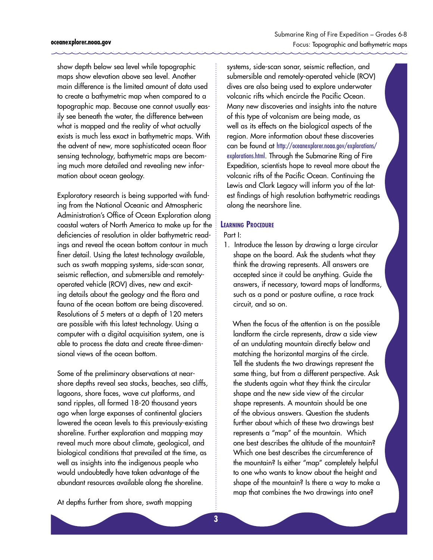show depth below sea level while topographic maps show elevation above sea level. Another main difference is the limited amount of data used to create a bathymetric map when compared to a topographic map. Because one cannot usually easily see beneath the water, the difference between what is mapped and the reality of what actually exists is much less exact in bathymetric maps. With the advent of new, more sophisticated ocean floor sensing technology, bathymetric maps are becoming much more detailed and revealing new information about ocean geology.

Exploratory research is being supported with funding from the National Oceanic and Atmospheric Administration's Office of Ocean Exploration along coastal waters of North America to make up for the deficiencies of resolution in older bathymetric readings and reveal the ocean bottom contour in much finer detail. Using the latest technology available, such as swath mapping systems, side-scan sonar, seismic reflection, and submersible and remotelyoperated vehicle (ROV) dives, new and exciting details about the geology and the flora and fauna of the ocean bottom are being discovered. Resolutions of 5 meters at a depth of 120 meters are possible with this latest technology. Using a computer with a digital acquisition system, one is able to process the data and create three-dimensional views of the ocean bottom.

Some of the preliminary observations at nearshore depths reveal sea stacks, beaches, sea cliffs, lagoons, shore faces, wave cut platforms, and sand ripples, all formed 18-20 thousand years ago when large expanses of continental glaciers lowered the ocean levels to this previously-existing shoreline. Further exploration and mapping may reveal much more about climate, geological, and biological conditions that prevailed at the time, as well as insights into the indigenous people who would undoubtedly have taken advantage of the abundant resources available along the shoreline.

At depths further from shore, swath mapping

systems, side-scan sonar, seismic reflection, and submersible and remotely-operated vehicle (ROV) dives are also being used to explore underwater volcanic rifts which encircle the Pacific Ocean. Many new discoveries and insights into the nature of this type of volcanism are being made, as well as its effects on the biological aspects of the region. More information about these discoveries can be found at [http://oceanexplorer.noaa.gov/explorations/](http://oceanexplorer.noaa.gov/explorations/explorations.html) [explorations.html](http://oceanexplorer.noaa.gov/explorations/explorations.html). Through the Submarine Ring of Fire Expedition, scientists hope to reveal more about the volcanic rifts of the Pacific Ocean. Continuing the Lewis and Clark Legacy will inform you of the latest findings of high resolution bathymetric readings along the nearshore line.

#### **LEARNING PROCEDURE**

Part I:

1. Introduce the lesson by drawing a large circular shape on the board. Ask the students what they think the drawing represents. All answers are accepted since it could be anything. Guide the answers, if necessary, toward maps of landforms, such as a pond or pasture outline, a race track circuit, and so on.

 When the focus of the attention is on the possible landform the circle represents, draw a side view of an undulating mountain directly below and matching the horizontal margins of the circle. Tell the students the two drawings represent the same thing, but from a different perspective. Ask the students again what they think the circular shape and the new side view of the circular shape represents. A mountain should be one of the obvious answers. Question the students further about which of these two drawings best represents a "map" of the mountain. Which one best describes the altitude of the mountain? Which one best describes the circumference of the mountain? Is either "map" completely helpful to one who wants to know about the height and shape of the mountain? Is there a way to make a map that combines the two drawings into one?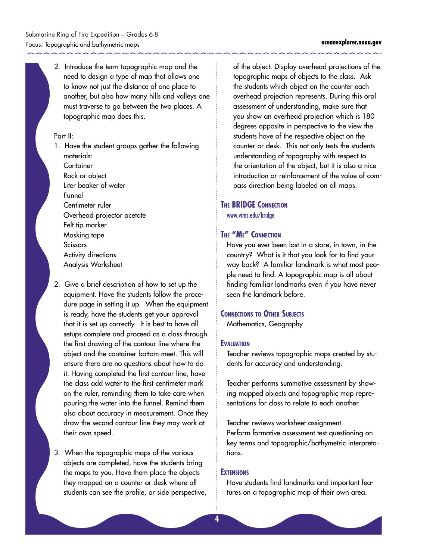2. Introduce the term topographic map and the need to design a type of map that allows one to know not just the distance of one place to another, but also how many hills and valleys one must traverse to go between the two places. A topographic map does this.

#### Part II:

- 1. Have the student groups gather the following materials: **Container** Rock or object Liter beaker of water Funnel Centimeter ruler Overhead projector acetate Felt tip marker Masking tape Scissors Activity directions Analysis Worksheet
- 2. Give a brief description of how to set up the equipment. Have the students follow the procedure page in setting it up. When the equipment is ready, have the students get your approval that it is set up correctly. It is best to have all setups complete and proceed as a class through the first drawing of the contour line where the object and the container bottom meet. This will ensure there are no questions about how to do it. Having completed the first contour line, have the class add water to the first centimeter mark on the ruler, reminding them to take care when pouring the water into the funnel. Remind them also about accuracy in measurement. Once they draw the second contour line they may work at their own speed.
- 3. When the topographic maps of the various objects are completed, have the students bring the maps to you. Have them place the objects they mapped on a counter or desk where all students can see the profile, or side perspective,

of the object. Display overhead projections of the topographic maps of objects to the class. Ask the students which object on the counter each overhead projection represents. During this oral assessment of understanding, make sure that you show an overhead projection which is 180 degrees opposite in perspective to the view the students have of the respective object on the counter or desk. This not only tests the students understanding of topography with respect to the orientation of the object, but it is also a nice introduction or reinforcement of the value of compass direction being labeled on all maps.

## **THE BRIDGE CONNECTION**

<www.vims.edu/bridge>

## **THE "ME" CONNECTION**

Have you ever been lost in a store, in town, in the country? What is it that you look for to find your way back? A familiar landmark is what most people need to find. A topographic map is all about finding familiar landmarks even if you have never seen the landmark before.

#### **CONNECTIONS TO OTHER SUBJECTS**

Mathematics, Geography

#### **EVALUATION**

Teacher reviews topographic maps created by students for accuracy and understanding.

Teacher performs summative assessment by showing mapped objects and topographic map representations for class to relate to each another.

Teacher reviews worksheet assignment. Perform formative assessment test questioning on key terms and topographic/bathymetric interpretations.

#### **EXTENSIONS**

Have students find landmarks and important features on a topographic map of their own area.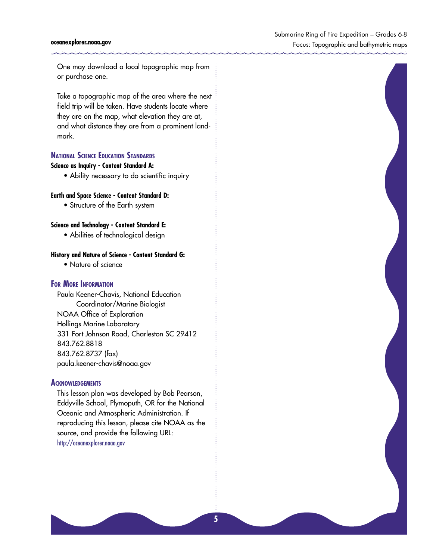#### **oceanexplorer.noaa.gov**

One may download a local topographic map from or purchase one.

Take a topographic map of the area where the next field trip will be taken. Have students locate where they are on the map, what elevation they are at, and what distance they are from a prominent landmark.

#### **NATIONAL SCIENCE EDUCATION STANDARDS**

#### **Science as Inquiry - Content Standard A:**

• Ability necessary to do scientific inquiry

#### **Earth and Space Science - Content Standard D:**

• Structure of the Earth system

#### **Science and Technology - Content Standard E:**

• Abilities of technological design

#### **History and Nature of Science - Content Standard G:**

• Nature of science

#### **FOR MORE INFORMATION**

Paula Keener-Chavis, National Education Coordinator/Marine Biologist NOAA Office of Exploration Hollings Marine Laboratory 331 Fort Johnson Road, Charleston SC 29412 843.762.8818 843.762.8737 (fax) paula.keener-chavis@noaa.gov

#### **ACKNOWLEDGEMENTS**

This lesson plan was developed by Bob Pearson, Eddyville School, Plymoputh, OR for the National Oceanic and Atmospheric Administration. If reproducing this lesson, please cite NOAA as the source, and provide the following URL: <http://oceanexplorer.noaa.gov>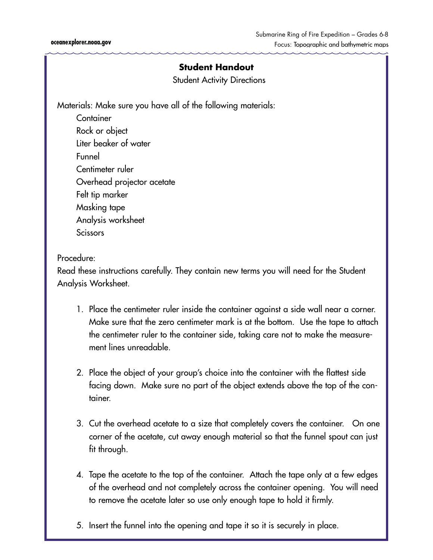Student Activity Directions

Materials: Make sure you have all of the following materials:

**Container** Rock or object Liter beaker of water Funnel Centimeter ruler Overhead projector acetate Felt tip marker Masking tape Analysis worksheet **Scissors** 

## Procedure:

Read these instructions carefully. They contain new terms you will need for the Student Analysis Worksheet.

- 1. Place the centimeter ruler inside the container against a side wall near a corner. Make sure that the zero centimeter mark is at the bottom. Use the tape to attach the centimeter ruler to the container side, taking care not to make the measurement lines unreadable.
- 2. Place the object of your group's choice into the container with the flattest side facing down. Make sure no part of the object extends above the top of the container.
- 3. Cut the overhead acetate to a size that completely covers the container. On one corner of the acetate, cut away enough material so that the funnel spout can just fit through.
- 4. Tape the acetate to the top of the container. Attach the tape only at a few edges of the overhead and not completely across the container opening. You will need to remove the acetate later so use only enough tape to hold it firmly.
- 5. Insert the funnel into the opening and tape it so it is securely in place.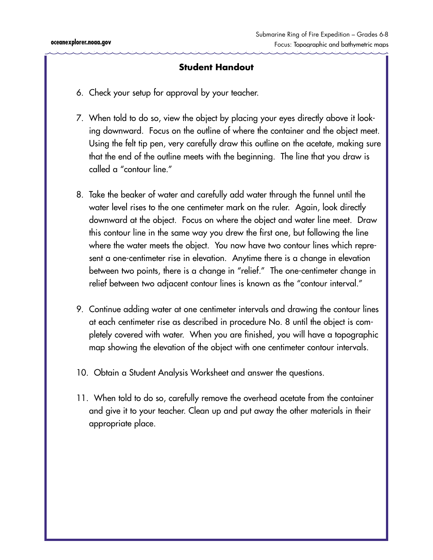- 6. Check your setup for approval by your teacher.
- 7. When told to do so, view the object by placing your eyes directly above it looking downward. Focus on the outline of where the container and the object meet. Using the felt tip pen, very carefully draw this outline on the acetate, making sure that the end of the outline meets with the beginning. The line that you draw is called a "contour line."
- 8. Take the beaker of water and carefully add water through the funnel until the water level rises to the one centimeter mark on the ruler. Again, look directly downward at the object. Focus on where the object and water line meet. Draw this contour line in the same way you drew the first one, but following the line where the water meets the object. You now have two contour lines which represent a one-centimeter rise in elevation. Anytime there is a change in elevation between two points, there is a change in "relief." The one-centimeter change in relief between two adjacent contour lines is known as the "contour interval."
- 9. Continue adding water at one centimeter intervals and drawing the contour lines at each centimeter rise as described in procedure No. 8 until the object is completely covered with water. When you are finished, you will have a topographic map showing the elevation of the object with one centimeter contour intervals.
- 10. Obtain a Student Analysis Worksheet and answer the questions.
- 11. When told to do so, carefully remove the overhead acetate from the container and give it to your teacher. Clean up and put away the other materials in their appropriate place.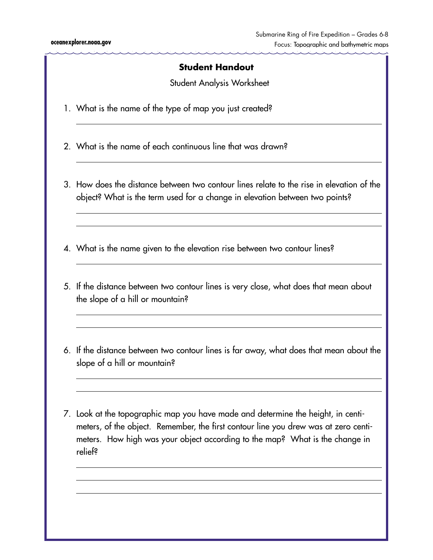Student Analysis Worksheet

- 1. What is the name of the type of map you just created?
- 2. What is the name of each continuous line that was drawn?
- 3. How does the distance between two contour lines relate to the rise in elevation of the object? What is the term used for a change in elevation between two points?
- 4. What is the name given to the elevation rise between two contour lines?
- 5. If the distance between two contour lines is very close, what does that mean about the slope of a hill or mountain?
- 6. If the distance between two contour lines is far away, what does that mean about the slope of a hill or mountain?
- 7. Look at the topographic map you have made and determine the height, in centimeters, of the object. Remember, the first contour line you drew was at zero centimeters. How high was your object according to the map? What is the change in relief?